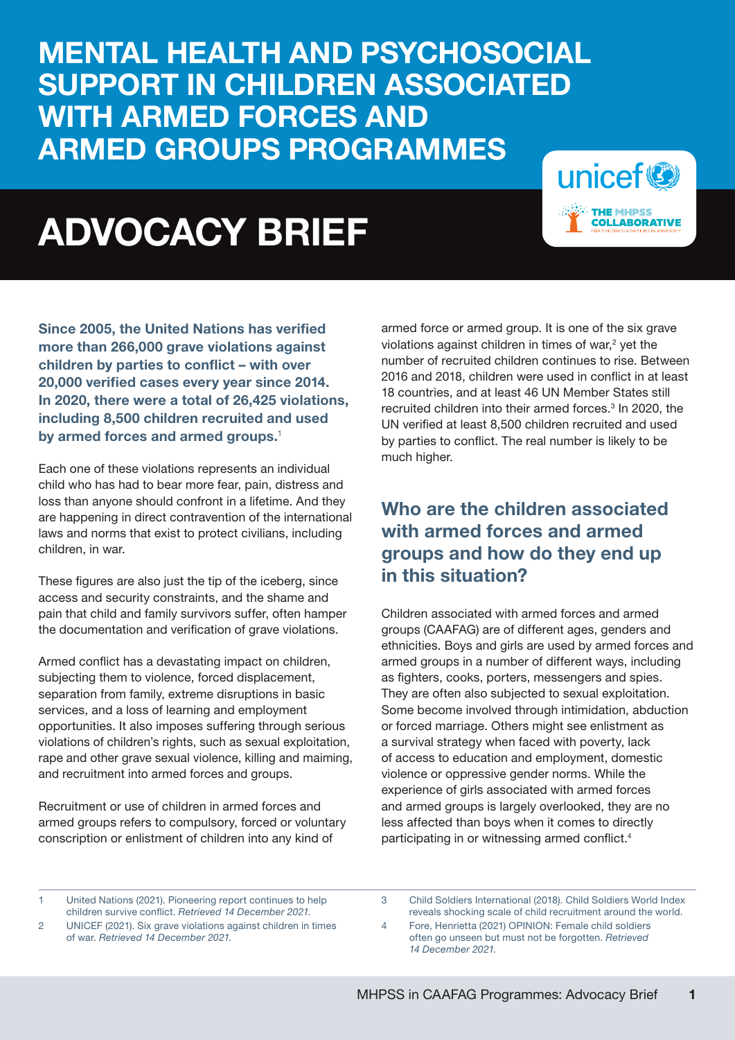MENTAL HEALTH AND PSYCHOSOCIAL SUPPORT IN CHILDREN ASSOCIATED WITH ARMED FORCES AND ARMED GROUPS PROGRAMMES

# ADVOCACY BRIEF



Since 2005, the United Nations has verified more than 266,000 grave violations against children by parties to conflict – with over 20,000 verified cases every year since 2014. In 2020, there were a total of 26,425 violations, including 8,500 children recruited and used by armed forces and armed groups.<sup>1</sup>

Each one of these violations represents an individual child who has had to bear more fear, pain, distress and loss than anyone should confront in a lifetime. And they are happening in direct contravention of the international laws and norms that exist to protect civilians, including children, in war.

These figures are also just the tip of the iceberg, since access and security constraints, and the shame and pain that child and family survivors suffer, often hamper the documentation and verification of grave violations.

Armed conflict has a devastating impact on children, subjecting them to violence, forced displacement, separation from family, extreme disruptions in basic services, and a loss of learning and employment opportunities. It also imposes suffering through serious violations of children's rights, such as sexual exploitation, rape and other grave sexual violence, killing and maiming, and recruitment into armed forces and groups.

Recruitment or use of children in armed forces and armed groups refers to compulsory, forced or voluntary conscription or enlistment of children into any kind of

armed force or armed group. It is one of the six grave violations against children in times of war, $2$  yet the number of recruited children continues to rise. Between 2016 and 2018, children were used in conflict in at least 18 countries, and at least 46 UN Member States still recruited children into their armed forces.<sup>3</sup> In 2020, the UN verified at least 8,500 children recruited and used by parties to conflict. The real number is likely to be much higher.

# Who are the children associated with armed forces and armed groups and how do they end up in this situation?

Children associated with armed forces and armed groups (CAAFAG) are of different ages, genders and ethnicities. Boys and girls are used by armed forces and armed groups in a number of different ways, including as fighters, cooks, porters, messengers and spies. They are often also subjected to sexual exploitation. Some become involved through intimidation, abduction or forced marriage. Others might see enlistment as a survival strategy when faced with poverty, lack of access to education and employment, domestic violence or oppressive gender norms. While the experience of girls associated with armed forces and armed groups is largely overlooked, they are no less affected than boys when it comes to directly participating in or witnessing armed conflict.4

1 United Nations (2021). Pioneering report continues to help children survive conflict. *Retrieved 14 December 2021.*

3 Child Soldiers International (2018). Child Soldiers World Index reveals shocking scale of child recruitment around the world.

4 Fore, Henrietta (2021) OPINION: Female child soldiers often go unseen but must not be forgotten. *Retrieved 14 December 2021.*

<sup>2</sup> UNICEF (2021). Six grave violations against children in times of war. *Retrieved 14 December 2021.*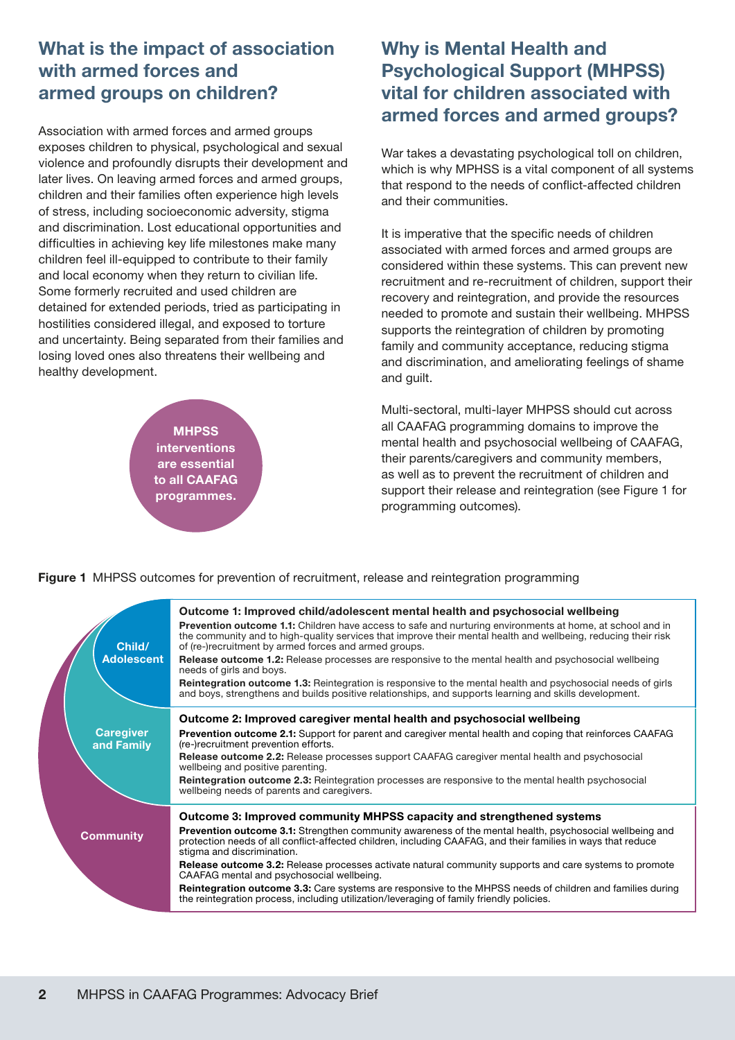# What is the impact of association with armed forces and armed groups on children?

Association with armed forces and armed groups exposes children to physical, psychological and sexual violence and profoundly disrupts their development and later lives. On leaving armed forces and armed groups, children and their families often experience high levels of stress, including socioeconomic adversity, stigma and discrimination. Lost educational opportunities and difficulties in achieving key life milestones make many children feel ill-equipped to contribute to their family and local economy when they return to civilian life. Some formerly recruited and used children are detained for extended periods, tried as participating in hostilities considered illegal, and exposed to torture and uncertainty. Being separated from their families and losing loved ones also threatens their wellbeing and healthy development.

> **MHPSS interventions** are essential to all CAAFAG programmes.

# Why is Mental Health and Psychological Support (MHPSS) vital for children associated with armed forces and armed groups?

War takes a devastating psychological toll on children, which is why MPHSS is a vital component of all systems that respond to the needs of conflict-affected children and their communities.

It is imperative that the specific needs of children associated with armed forces and armed groups are considered within these systems. This can prevent new recruitment and re-recruitment of children, support their recovery and reintegration, and provide the resources needed to promote and sustain their wellbeing. MHPSS supports the reintegration of children by promoting family and community acceptance, reducing stigma and discrimination, and ameliorating feelings of shame and guilt.

Multi-sectoral, multi-layer MHPSS should cut across all CAAFAG programming domains to improve the mental health and psychosocial wellbeing of CAAFAG, their parents/caregivers and community members, as well as to prevent the recruitment of children and support their release and reintegration (see Figure 1 for programming outcomes).

**Figure 1** MHPSS outcomes for prevention of recruitment, release and reintegration programming

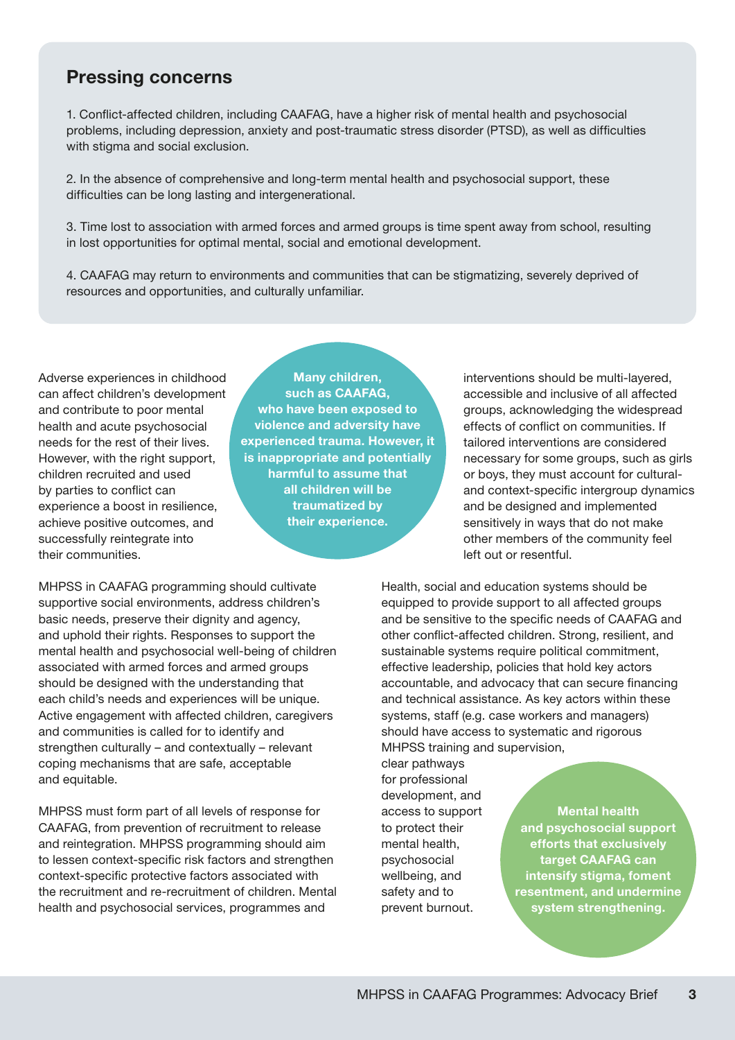#### Pressing concerns

1. Conflict-affected children, including CAAFAG, have a higher risk of mental health and psychosocial problems, including depression, anxiety and post-traumatic stress disorder (PTSD), as well as difficulties with stigma and social exclusion.

2. In the absence of comprehensive and long-term mental health and psychosocial support, these difficulties can be long lasting and intergenerational.

3. Time lost to association with armed forces and armed groups is time spent away from school, resulting in lost opportunities for optimal mental, social and emotional development.

4. CAAFAG may return to environments and communities that can be stigmatizing, severely deprived of resources and opportunities, and culturally unfamiliar.

Adverse experiences in childhood can affect children's development and contribute to poor mental health and acute psychosocial needs for the rest of their lives. However, with the right support. children recruited and used by parties to conflict can experience a boost in resilience, achieve positive outcomes, and successfully reintegrate into their communities.

Many children, such as CAAFAG, who have been exposed to violence and adversity have experienced trauma. However, it is inappropriate and potentially harmful to assume that all children will be traumatized by their experience.

interventions should be multi-layered, accessible and inclusive of all affected groups, acknowledging the widespread effects of conflict on communities. If tailored interventions are considered necessary for some groups, such as girls or boys, they must account for culturaland context-specific intergroup dynamics and be designed and implemented sensitively in ways that do not make other members of the community feel left out or resentful.

MHPSS in CAAFAG programming should cultivate supportive social environments, address children's basic needs, preserve their dignity and agency, and uphold their rights. Responses to support the mental health and psychosocial well-being of children associated with armed forces and armed groups should be designed with the understanding that each child's needs and experiences will be unique. Active engagement with affected children, caregivers and communities is called for to identify and strengthen culturally – and contextually – relevant coping mechanisms that are safe, acceptable and equitable.

MHPSS must form part of all levels of response for CAAFAG, from prevention of recruitment to release and reintegration. MHPSS programming should aim to lessen context-specific risk factors and strengthen context-specific protective factors associated with the recruitment and re-recruitment of children. Mental health and psychosocial services, programmes and

Health, social and education systems should be equipped to provide support to all affected groups and be sensitive to the specific needs of CAAFAG and other conflict-affected children. Strong, resilient, and sustainable systems require political commitment, effective leadership, policies that hold key actors accountable, and advocacy that can secure financing and technical assistance. As key actors within these systems, staff (e.g. case workers and managers) should have access to systematic and rigorous MHPSS training and supervision,

clear pathways for professional development, and access to support to protect their mental health, psychosocial wellbeing, and safety and to prevent burnout.

Mental health and psychosocial support efforts that exclusively target CAAFAG can intensify stigma, foment resentment, and undermine system strengthening.